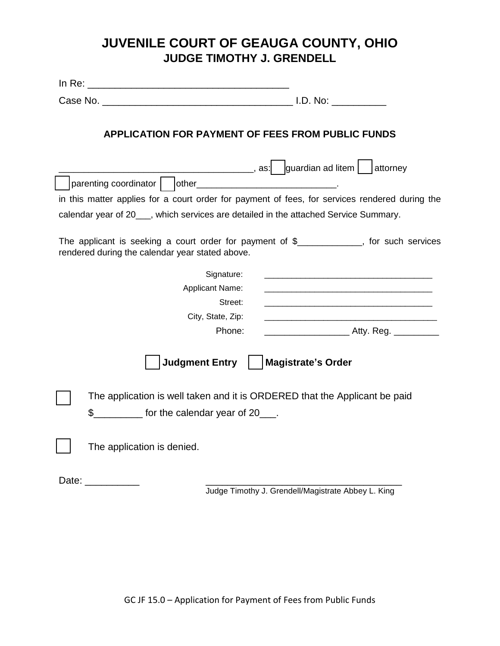## **JUVENILE COURT OF GEAUGA COUNTY, OHIO JUDGE TIMOTHY J. GRENDELL**

| <b>APPLICATION FOR PAYMENT OF FEES FROM PUBLIC FUNDS</b>                                                                                              |
|-------------------------------------------------------------------------------------------------------------------------------------------------------|
| parenting coordinator       other________________________________.                                                                                    |
| in this matter applies for a court order for payment of fees, for services rendered during the                                                        |
| calendar year of 20___, which services are detailed in the attached Service Summary.                                                                  |
|                                                                                                                                                       |
| The applicant is seeking a court order for payment of $\frac{1}{2}$ ___________, for such services<br>rendered during the calendar year stated above. |
| Signature:<br><u> 1980 - Jan Barnett, fransk politik (d. 1980)</u>                                                                                    |
| <b>Applicant Name:</b>                                                                                                                                |
| Street:                                                                                                                                               |
| City, State, Zip:                                                                                                                                     |
| Phone:                                                                                                                                                |
| <b>Judgment Entry</b><br><b>Magistrate's Order</b>                                                                                                    |
| The application is well taken and it is ORDERED that the Applicant be paid                                                                            |
| \$ __________ for the calendar year of 20___.                                                                                                         |
| The application is denied.                                                                                                                            |
| Date: <b>Date</b>                                                                                                                                     |
| Judge Timothy J. Grendell/Magistrate Abbey L. King                                                                                                    |